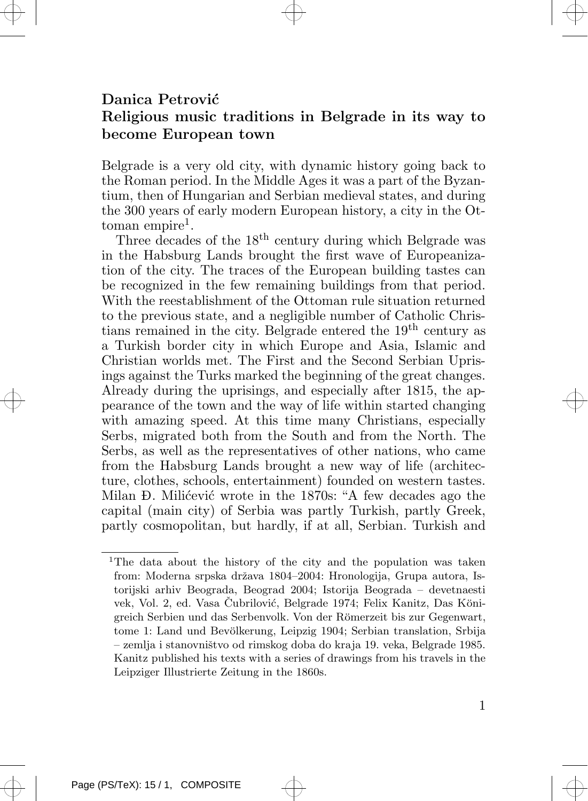## Danica Petrović Religious music traditions in Belgrade in its way to become European town

Belgrade is a very old city, with dynamic history going back to the Roman period. In the Middle Ages it was a part of the Byzantium, then of Hungarian and Serbian medieval states, and during the 300 years of early modern European history, a city in the Ot $t$ oman empire<sup>1</sup>.

Three decades of the 18th century during which Belgrade was in the Habsburg Lands brought the first wave of Europeanization of the city. The traces of the European building tastes can be recognized in the few remaining buildings from that period. With the reestablishment of the Ottoman rule situation returned to the previous state, and a negligible number of Catholic Christians remained in the city. Belgrade entered the 19<sup>th</sup> century as a Turkish border city in which Europe and Asia, Islamic and Christian worlds met. The First and the Second Serbian Uprisings against the Turks marked the beginning of the great changes. Already during the uprisings, and especially after 1815, the appearance of the town and the way of life within started changing with amazing speed. At this time many Christians, especially Serbs, migrated both from the South and from the North. The Serbs, as well as the representatives of other nations, who came from the Habsburg Lands brought a new way of life (architecture, clothes, schools, entertainment) founded on western tastes. Milan Đ. Milićević wrote in the 1870s: "A few decades ago the capital (main city) of Serbia was partly Turkish, partly Greek, partly cosmopolitan, but hardly, if at all, Serbian. Turkish and

<sup>&</sup>lt;sup>1</sup>The data about the history of the city and the population was taken from: Moderna srpska država 1804–2004: Hronologija, Grupa autora, Istorijski arhiv Beograda, Beograd 2004; Istorija Beograda – devetnaesti vek, Vol. 2, ed. Vasa Čubrilović, Belgrade 1974; Felix Kanitz, Das Königreich Serbien und das Serbenvolk. Von der Römerzeit bis zur Gegenwart, tome 1: Land und Bevölkerung, Leipzig 1904; Serbian translation, Srbija – zemlja i stanovniˇstvo od rimskog doba do kraja 19. veka, Belgrade 1985. Kanitz published his texts with a series of drawings from his travels in the Leipziger Illustrierte Zeitung in the 1860s.

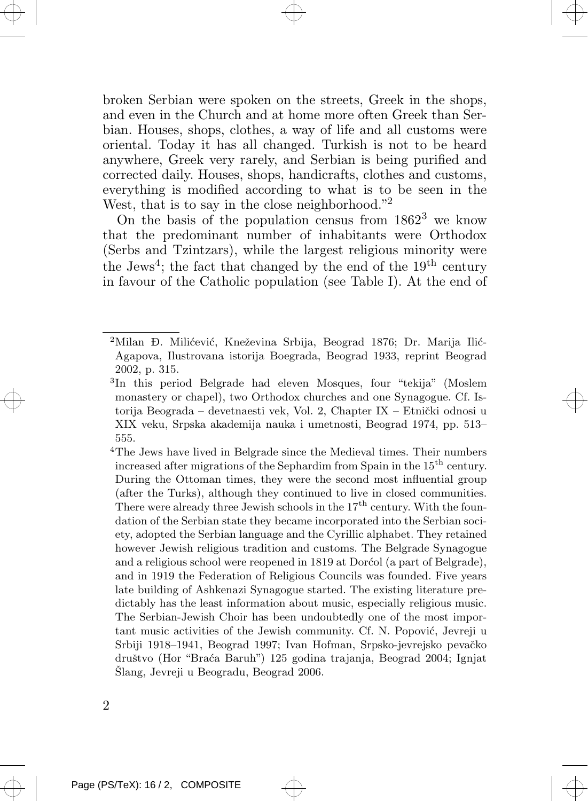broken Serbian were spoken on the streets, Greek in the shops, and even in the Church and at home more often Greek than Serbian. Houses, shops, clothes, a way of life and all customs were oriental. Today it has all changed. Turkish is not to be heard anywhere, Greek very rarely, and Serbian is being purified and corrected daily. Houses, shops, handicrafts, clothes and customs, everything is modified according to what is to be seen in the West, that is to say in the close neighborhood."<sup>2</sup>

On the basis of the population census from  $1862<sup>3</sup>$  we know that the predominant number of inhabitants were Orthodox (Serbs and Tzintzars), while the largest religious minority were the Jews<sup>4</sup>; the fact that changed by the end of the  $19<sup>th</sup>$  century in favour of the Catholic population (see Table I). At the end of

<sup>4</sup>The Jews have lived in Belgrade since the Medieval times. Their numbers increased after migrations of the Sephardim from Spain in the  $15<sup>th</sup>$  century. During the Ottoman times, they were the second most influential group (after the Turks), although they continued to live in closed communities. There were already three Jewish schools in the  $17<sup>th</sup>$  century. With the foundation of the Serbian state they became incorporated into the Serbian society, adopted the Serbian language and the Cyrillic alphabet. They retained however Jewish religious tradition and customs. The Belgrade Synagogue and a religious school were reopened in 1819 at Dorcol (a part of Belgrade), and in 1919 the Federation of Religious Councils was founded. Five years late building of Ashkenazi Synagogue started. The existing literature predictably has the least information about music, especially religious music. The Serbian-Jewish Choir has been undoubtedly one of the most important music activities of the Jewish community. Cf. N. Popović, Jevreji u Srbiji 1918–1941, Beograd 1997; Ivan Hofman, Srpsko-jevrejsko pevačko druˇstvo (Hor "Bra´ca Baruh") 125 godina trajanja, Beograd 2004; Ignjat Šlang, Jevreji u Beogradu, Beograd 2006.

<sup>&</sup>lt;sup>2</sup>Milan Đ. Milićević, Kneževina Srbija, Beograd 1876; Dr. Marija Ilić-Agapova, Ilustrovana istorija Boegrada, Beograd 1933, reprint Beograd 2002, p. 315.

<sup>3</sup> In this period Belgrade had eleven Mosques, four "tekija" (Moslem monastery or chapel), two Orthodox churches and one Synagogue. Cf. Istorija Beograda – devetnaesti vek, Vol. 2, Chapter IX – Etnički odnosi u XIX veku, Srpska akademija nauka i umetnosti, Beograd 1974, pp. 513– 555.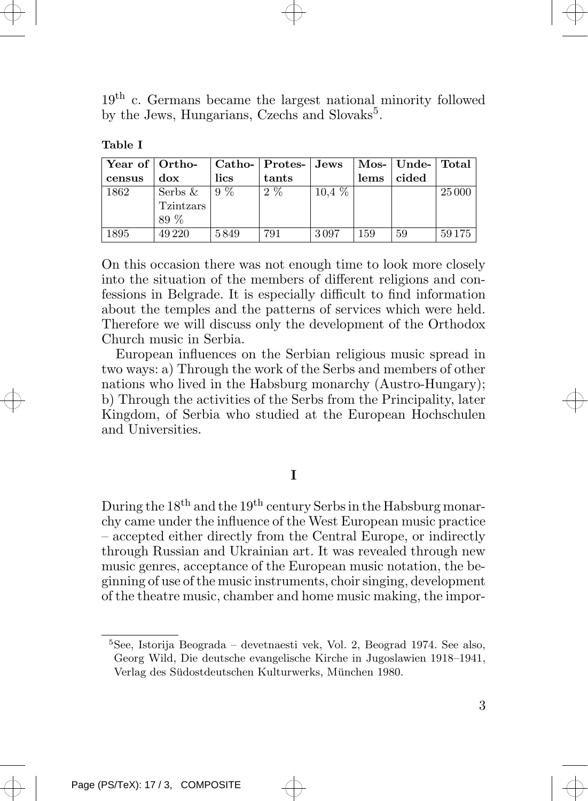

| and the control of the con-<br>$\sim$ |  |  |  |
|---------------------------------------|--|--|--|
|---------------------------------------|--|--|--|

| Year of Ortho- |            |       | Catho-   Protes-   Jews |          |      | Mos-   Unde-   Total |        |
|----------------|------------|-------|-------------------------|----------|------|----------------------|--------|
| census         | $d$ ox     | lics  | tants                   |          | lems | cided                |        |
| 1862           | Serbs $\&$ | $9\%$ | $2\%$                   | $10.4\%$ |      |                      | 25 000 |
|                | Tzintzars  |       |                         |          |      |                      |        |
|                | 89 %       |       |                         |          |      |                      |        |
| 1895           | 49 2 20    | 5849  | 791                     | 3097     | 159  | 59                   | 59175  |

On this occasion there was not enough time to look more closely into the situation of the members of different religions and confessions in Belgrade. It is especially difficult to find information about the temples and the patterns of services which were held. Therefore we will discuss only the development of the Orthodox Church music in Serbia.

European influences on the Serbian religious music spread in two ways: a) Through the work of the Serbs and members of other nations who lived in the Habsburg monarchy (Austro-Hungary); b) Through the activities of the Serbs from the Principality, later Kingdom, of Serbia who studied at the European Hochschulen and Universities.

## I

During the 18<sup>th</sup> and the 19<sup>th</sup> century Serbs in the Habsburg monarchy came under the influence of the West European music practice – accepted either directly from the Central Europe, or indirectly through Russian and Ukrainian art. It was revealed through new music genres, acceptance of the European music notation, the beginning of use of the music instruments, choir singing, development of the theatre music, chamber and home music making, the impor-

<sup>5</sup>See, Istorija Beograda – devetnaesti vek, Vol. 2, Beograd 1974. See also, Georg Wild, Die deutsche evangelische Kirche in Jugoslawien 1918–1941, Verlag des Südostdeutschen Kulturwerks, München 1980.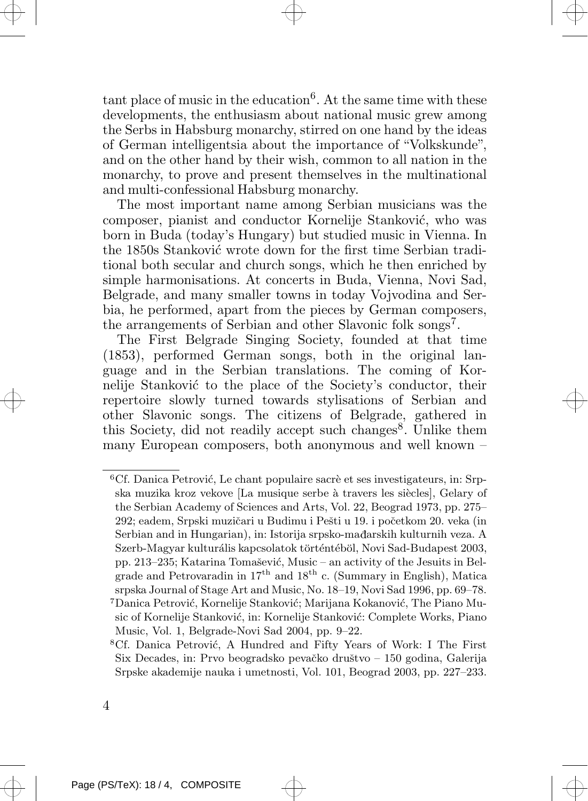tant place of music in the education<sup>6</sup>. At the same time with these developments, the enthusiasm about national music grew among the Serbs in Habsburg monarchy, stirred on one hand by the ideas of German intelligentsia about the importance of "Volkskunde", and on the other hand by their wish, common to all nation in the monarchy, to prove and present themselves in the multinational and multi-confessional Habsburg monarchy.

The most important name among Serbian musicians was the composer, pianist and conductor Kornelije Stanković, who was born in Buda (today's Hungary) but studied music in Vienna. In the 1850s Stanković wrote down for the first time Serbian traditional both secular and church songs, which he then enriched by simple harmonisations. At concerts in Buda, Vienna, Novi Sad, Belgrade, and many smaller towns in today Vojvodina and Serbia, he performed, apart from the pieces by German composers, the arrangements of Serbian and other Slavonic folk songs<sup>7</sup>.

The First Belgrade Singing Society, founded at that time (1853), performed German songs, both in the original language and in the Serbian translations. The coming of Kornelije Stanković to the place of the Society's conductor, their repertoire slowly turned towards stylisations of Serbian and other Slavonic songs. The citizens of Belgrade, gathered in this Society, did not readily accept such changes<sup>8</sup>. Unlike them many European composers, both anonymous and well known –

 ${}^{6}$ Cf. Danica Petrović, Le chant populaire sacrè et ses investigateurs, in: Srpska muzika kroz vekove [La musique serbe à travers les siècles], Gelary of the Serbian Academy of Sciences and Arts, Vol. 22, Beograd 1973, pp. 275– 292; eadem, Srpski muzičari u Budimu i Pešti u 19. i početkom 20. veka (in Serbian and in Hungarian), in: Istorija srpsko-mađarskih kulturnih veza. A Szerb-Magyar kulturális kapcsolatok történtéböl, Novi Sad-Budapest 2003, pp. 213–235; Katarina Tomašević, Music – an activity of the Jesuits in Belgrade and Petrovaradin in  $17<sup>th</sup>$  and  $18<sup>th</sup>$  c. (Summary in English), Matica srpska Journal of Stage Art and Music, No. 18–19, Novi Sad 1996, pp. 69–78. <sup>7</sup>Danica Petrović, Kornelije Stanković; Marijana Kokanović, The Piano Music of Kornelije Stanković, in: Kornelije Stanković: Complete Works, Piano Music, Vol. 1, Belgrade-Novi Sad 2004, pp. 9–22.

<sup>&</sup>lt;sup>8</sup>Cf. Danica Petrović, A Hundred and Fifty Years of Work: I The First Six Decades, in: Prvo beogradsko pevačko društvo – 150 godina, Galerija Srpske akademije nauka i umetnosti, Vol. 101, Beograd 2003, pp. 227–233.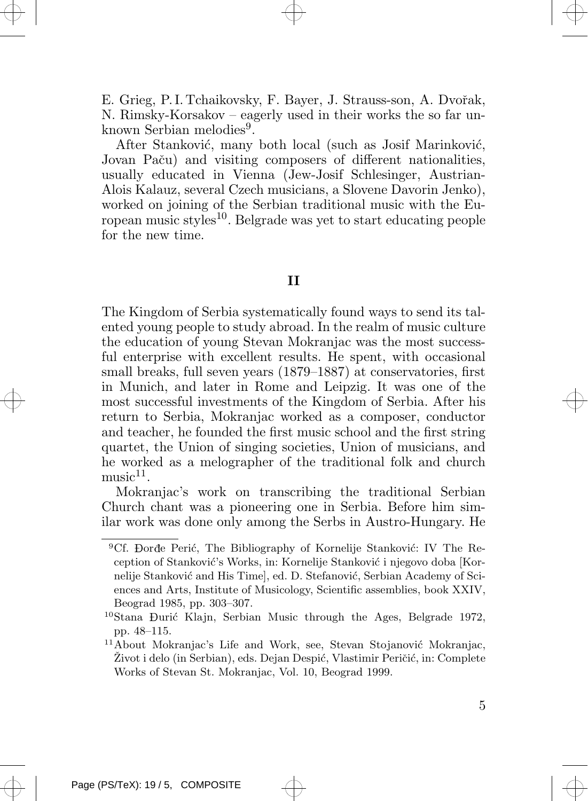E. Grieg, P.I. Tchaikovsky, F. Bayer, J. Strauss-son, A. Dvořak, N. Rimsky-Korsakov – eagerly used in their works the so far unknown Serbian melodies<sup>9</sup>.

After Stanković, many both local (such as Josif Marinković, Jovan Paču) and visiting composers of different nationalities, usually educated in Vienna (Jew-Josif Schlesinger, Austrian-Alois Kalauz, several Czech musicians, a Slovene Davorin Jenko), worked on joining of the Serbian traditional music with the European music styles<sup>10</sup>. Belgrade was yet to start educating people for the new time.

## II

The Kingdom of Serbia systematically found ways to send its talented young people to study abroad. In the realm of music culture the education of young Stevan Mokranjac was the most successful enterprise with excellent results. He spent, with occasional small breaks, full seven years (1879–1887) at conservatories, first in Munich, and later in Rome and Leipzig. It was one of the most successful investments of the Kingdom of Serbia. After his return to Serbia, Mokranjac worked as a composer, conductor and teacher, he founded the first music school and the first string quartet, the Union of singing societies, Union of musicians, and he worked as a melographer of the traditional folk and church  $music<sup>11</sup>$ .

Mokranjac's work on transcribing the traditional Serbian Church chant was a pioneering one in Serbia. Before him similar work was done only among the Serbs in Austro-Hungary. He

<sup>&</sup>lt;sup>9</sup>Cf. Dorđe Perić, The Bibliography of Kornelije Stanković: IV The Reception of Stanković's Works, in: Kornelije Stanković i njegovo doba [Kornelije Stanković and His Time], ed. D. Stefanović, Serbian Academy of Sciences and Arts, Institute of Musicology, Scientific assemblies, book XXIV, Beograd 1985, pp. 303–307.

 $10$ Stana Đurić Klajn, Serbian Music through the Ages, Belgrade 1972, pp. 48–115.

 $11$ About Mokranjac's Life and Work, see, Stevan Stojanović Mokranjac, Život i delo (in Serbian), eds. Dejan Despić, Vlastimir Peričić, in: Complete Works of Stevan St. Mokranjac, Vol. 10, Beograd 1999.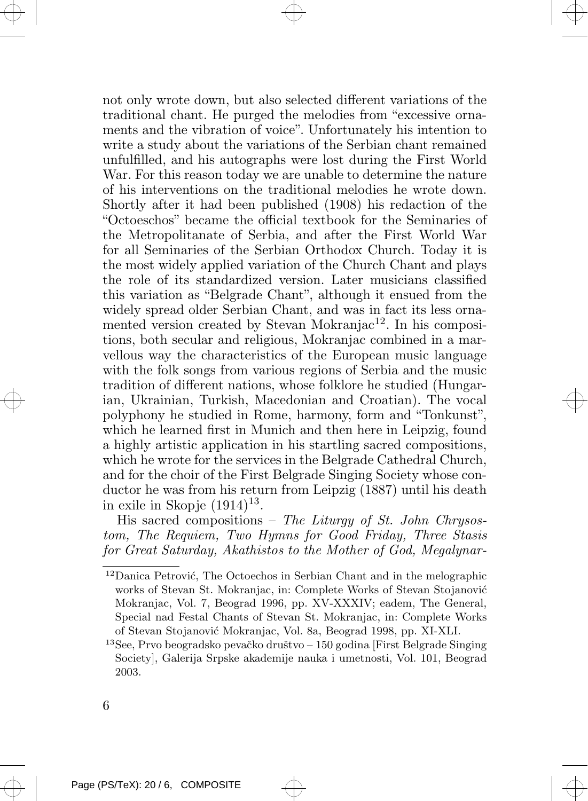not only wrote down, but also selected different variations of the traditional chant. He purged the melodies from "excessive ornaments and the vibration of voice". Unfortunately his intention to write a study about the variations of the Serbian chant remained unfulfilled, and his autographs were lost during the First World War. For this reason today we are unable to determine the nature of his interventions on the traditional melodies he wrote down. Shortly after it had been published (1908) his redaction of the "Octoeschos" became the official textbook for the Seminaries of the Metropolitanate of Serbia, and after the First World War for all Seminaries of the Serbian Orthodox Church. Today it is the most widely applied variation of the Church Chant and plays the role of its standardized version. Later musicians classified this variation as "Belgrade Chant", although it ensued from the widely spread older Serbian Chant, and was in fact its less ornamented version created by Stevan Mokranjac<sup>12</sup>. In his compositions, both secular and religious, Mokranjac combined in a marvellous way the characteristics of the European music language with the folk songs from various regions of Serbia and the music tradition of different nations, whose folklore he studied (Hungarian, Ukrainian, Turkish, Macedonian and Croatian). The vocal polyphony he studied in Rome, harmony, form and "Tonkunst", which he learned first in Munich and then here in Leipzig, found a highly artistic application in his startling sacred compositions, which he wrote for the services in the Belgrade Cathedral Church, and for the choir of the First Belgrade Singing Society whose conductor he was from his return from Leipzig (1887) until his death in exile in Skopje  $(1914)^{13}$ .

His sacred compositions – The Liturgy of St. John Chrysostom, The Requiem, Two Hymns for Good Friday, Three Stasis for Great Saturday, Akathistos to the Mother of God, Megalynar-

 $13$ See, Prvo beogradsko pevačko društvo – 150 godina [First Belgrade Singing] Society], Galerija Srpske akademije nauka i umetnosti, Vol. 101, Beograd 2003.

 $12$ Danica Petrović, The Octoechos in Serbian Chant and in the melographic works of Stevan St. Mokranjac, in: Complete Works of Stevan Stojanović Mokranjac, Vol. 7, Beograd 1996, pp. XV-XXXIV; eadem, The General, Special nad Festal Chants of Stevan St. Mokranjac, in: Complete Works of Stevan Stojanović Mokranjac, Vol. 8a, Beograd 1998, pp. XI-XLI.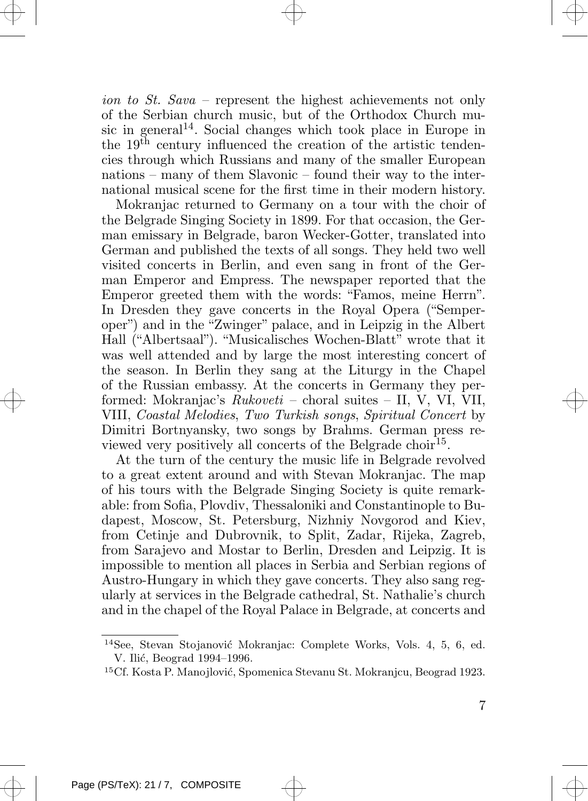ion to St. Sava – represent the highest achievements not only of the Serbian church music, but of the Orthodox Church music in general<sup>14</sup>. Social changes which took place in Europe in the  $19<sup>th</sup>$  century influenced the creation of the artistic tendencies through which Russians and many of the smaller European nations – many of them Slavonic – found their way to the international musical scene for the first time in their modern history.

Mokranjac returned to Germany on a tour with the choir of the Belgrade Singing Society in 1899. For that occasion, the German emissary in Belgrade, baron Wecker-Gotter, translated into German and published the texts of all songs. They held two well visited concerts in Berlin, and even sang in front of the German Emperor and Empress. The newspaper reported that the Emperor greeted them with the words: "Famos, meine Herrn". In Dresden they gave concerts in the Royal Opera ("Semperoper") and in the "Zwinger" palace, and in Leipzig in the Albert Hall ("Albertsaal"). "Musicalisches Wochen-Blatt" wrote that it was well attended and by large the most interesting concert of the season. In Berlin they sang at the Liturgy in the Chapel of the Russian embassy. At the concerts in Germany they performed: Mokranjac's Rukoveti – choral suites – II, V, VI, VII, VIII, Coastal Melodies, Two Turkish songs, Spiritual Concert by Dimitri Bortnyansky, two songs by Brahms. German press reviewed very positively all concerts of the Belgrade choir<sup>15</sup>.

At the turn of the century the music life in Belgrade revolved to a great extent around and with Stevan Mokranjac. The map of his tours with the Belgrade Singing Society is quite remarkable: from Sofia, Plovdiv, Thessaloniki and Constantinople to Budapest, Moscow, St. Petersburg, Nizhniy Novgorod and Kiev, from Cetinje and Dubrovnik, to Split, Zadar, Rijeka, Zagreb, from Sarajevo and Mostar to Berlin, Dresden and Leipzig. It is impossible to mention all places in Serbia and Serbian regions of Austro-Hungary in which they gave concerts. They also sang regularly at services in the Belgrade cathedral, St. Nathalie's church and in the chapel of the Royal Palace in Belgrade, at concerts and

<sup>&</sup>lt;sup>14</sup>See, Stevan Stojanović Mokranjac: Complete Works, Vols. 4, 5, 6, ed. V. Ilić, Beograd 1994–1996.

<sup>&</sup>lt;sup>15</sup>Cf. Kosta P. Manojlović, Spomenica Stevanu St. Mokranjcu, Beograd 1923.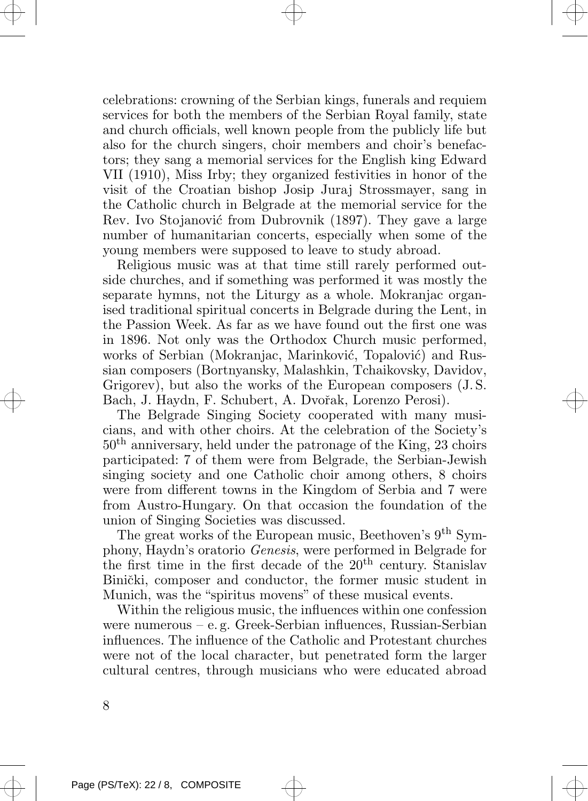celebrations: crowning of the Serbian kings, funerals and requiem services for both the members of the Serbian Royal family, state and church officials, well known people from the publicly life but also for the church singers, choir members and choir's benefactors; they sang a memorial services for the English king Edward VII (1910), Miss Irby; they organized festivities in honor of the visit of the Croatian bishop Josip Juraj Strossmayer, sang in the Catholic church in Belgrade at the memorial service for the Rev. Ivo Stojanović from Dubrovnik (1897). They gave a large number of humanitarian concerts, especially when some of the young members were supposed to leave to study abroad.

Religious music was at that time still rarely performed outside churches, and if something was performed it was mostly the separate hymns, not the Liturgy as a whole. Mokranjac organised traditional spiritual concerts in Belgrade during the Lent, in the Passion Week. As far as we have found out the first one was in 1896. Not only was the Orthodox Church music performed, works of Serbian (Mokranjac, Marinković, Topalović) and Russian composers (Bortnyansky, Malashkin, Tchaikovsky, Davidov, Grigorev), but also the works of the European composers (J. S. Bach, J. Haydn, F. Schubert, A. Dvořak, Lorenzo Perosi).

The Belgrade Singing Society cooperated with many musicians, and with other choirs. At the celebration of the Society's  $50<sup>th</sup>$  anniversary, held under the patronage of the King, 23 choirs participated: 7 of them were from Belgrade, the Serbian-Jewish singing society and one Catholic choir among others, 8 choirs were from different towns in the Kingdom of Serbia and 7 were from Austro-Hungary. On that occasion the foundation of the union of Singing Societies was discussed.

The great works of the European music, Beethoven's 9<sup>th</sup> Symphony, Haydn's oratorio Genesis, were performed in Belgrade for the first time in the first decade of the 20th century. Stanislav Binički, composer and conductor, the former music student in Munich, was the "spiritus movens" of these musical events.

Within the religious music, the influences within one confession were numerous – e. g. Greek-Serbian influences, Russian-Serbian influences. The influence of the Catholic and Protestant churches were not of the local character, but penetrated form the larger cultural centres, through musicians who were educated abroad